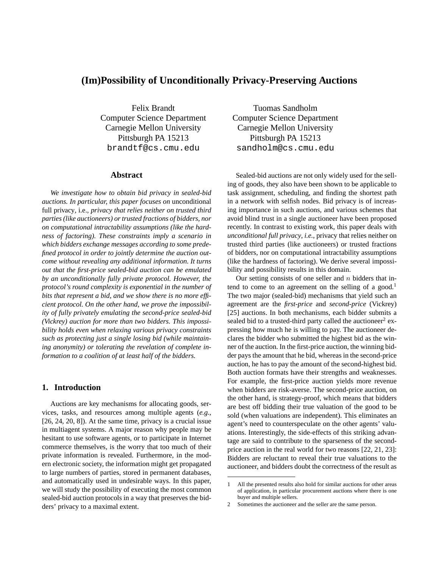# **(Im)Possibility of Unconditionally Privacy-Preserving Auctions**

Felix Brandt Computer Science Department Carnegie Mellon University Pittsburgh PA 15213 brandtf@cs.cmu.edu

#### **Abstract**

*We investigate how to obtain bid privacy in sealed-bid auctions. In particular, this paper focuses on* unconditional full privacy*,* i.e.*, privacy that relies neither on trusted third parties (like auctioneers) or trusted fractions of bidders, nor on computational intractability assumptions (like the hardness of factoring). These constraints imply a scenario in which bidders exchange messages according to some predefined protocol in order to jointly determine the auction outcome without revealing any additional information. It turns out that the first-price sealed-bid auction can be emulated by an unconditionally fully private protocol. However, the protocol's round complexity is exponential in the number of bits that represent a bid, and we show there is no more efficient protocol. On the other hand, we prove the impossibility of fully privately emulating the second-price sealed-bid (Vickrey) auction for more than two bidders. This impossibility holds even when relaxing various privacy constraints such as protecting just a single losing bid (while maintaining anonymity) or tolerating the revelation of complete information to a coalition of at least half of the bidders.*

### **1. Introduction**

Auctions are key mechanisms for allocating goods, services, tasks, and resources among multiple agents (*e.g.*, [26, 24, 20, 8]). At the same time, privacy is a crucial issue in multiagent systems. A major reason why people may be hesitant to use software agents, or to participate in Internet commerce themselves, is the worry that too much of their private information is revealed. Furthermore, in the modern electronic society, the information might get propagated to large numbers of parties, stored in permanent databases, and automatically used in undesirable ways. In this paper, we will study the possibility of executing the most common sealed-bid auction protocols in a way that preserves the bidders' privacy to a maximal extent.

Tuomas Sandholm Computer Science Department Carnegie Mellon University Pittsburgh PA 15213 sandholm@cs.cmu.edu

Sealed-bid auctions are not only widely used for the selling of goods, they also have been shown to be applicable to task assignment, scheduling, and finding the shortest path in a network with selfish nodes. Bid privacy is of increasing importance in such auctions, and various schemes that avoid blind trust in a single auctioneer have been proposed recently. In contrast to existing work, this paper deals with *unconditional full privacy*, *i.e.*, privacy that relies neither on trusted third parties (like auctioneers) or trusted fractions of bidders, nor on computational intractability assumptions (like the hardness of factoring). We derive several impossibility and possibility results in this domain.

Our setting consists of one seller and  $n$  bidders that intend to come to an agreement on the selling of a good.<sup>1</sup> The two major (sealed-bid) mechanisms that yield such an agreement are the *first-price* and *second-price* (Vickrey) [25] auctions. In both mechanisms, each bidder submits a sealed bid to a trusted-third party called the auctioneer<sup>2</sup> expressing how much he is willing to pay. The auctioneer declares the bidder who submitted the highest bid as the winner of the auction. In the first-price auction, the winning bidder pays the amount that he bid, whereas in the second-price auction, he has to pay the amount of the second-highest bid. Both auction formats have their strengths and weaknesses. For example, the first-price auction yields more revenue when bidders are risk-averse. The second-price auction, on the other hand, is strategy-proof, which means that bidders are best off bidding their true valuation of the good to be sold (when valuations are independent). This eliminates an agent's need to counterspeculate on the other agents' valuations. Interestingly, the side-effects of this striking advantage are said to contribute to the sparseness of the secondprice auction in the real world for two reasons [22, 21, 23]: Bidders are reluctant to reveal their true valuations to the auctioneer, and bidders doubt the correctness of the result as

<sup>1</sup> All the presented results also hold for similar auctions for other areas of application, in particular procurement auctions where there is one buyer and multiple sellers.

<sup>2</sup> Sometimes the auctioneer and the seller are the same person.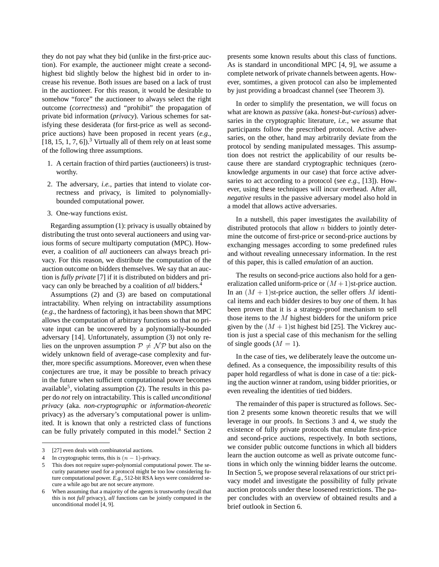they do not pay what they bid (unlike in the first-price auction). For example, the auctioneer might create a secondhighest bid slightly below the highest bid in order to increase his revenue. Both issues are based on a lack of trust in the auctioneer. For this reason, it would be desirable to somehow "force" the auctioneer to always select the right outcome (*correctness*) and "prohibit" the propagation of private bid information (*privacy*). Various schemes for satisfying these desiderata (for first-price as well as secondprice auctions) have been proposed in recent years (*e.g.*,  $[18, 15, 1, 7, 6]$ .<sup>3</sup> Virtually all of them rely on at least some of the following three assumptions.

- 1. A certain fraction of third parties (auctioneers) is trustworthy.
- 2. The adversary, *i.e.*, parties that intend to violate correctness and privacy, is limited to polynomiallybounded computational power.
- 3. One-way functions exist.

Regarding assumption (1): privacy is usually obtained by distributing the trust onto several auctioneers and using various forms of secure multiparty computation (MPC). However, a coalition of *all* auctioneers can always breach privacy. For this reason, we distribute the computation of the auction outcome on bidders themselves. We say that an auction is *fully private* [7] if it is distributed on bidders and privacy can only be breached by a coalition of *all* bidders.<sup>4</sup>

Assumptions (2) and (3) are based on computational intractability. When relying on intractability assumptions (*e.g.*, the hardness of factoring), it has been shown that MPC allows the computation of arbitrary functions so that no private input can be uncovered by a polynomially-bounded adversary [14]. Unfortunately, assumption (3) not only relies on the unproven assumption  $P \neq \mathcal{NP}$  but also on the widely unknown field of average-case complexity and further, more specific assumptions. Moreover, even when these conjectures are true, it may be possible to breach privacy in the future when sufficient computational power becomes available<sup>5</sup>, violating assumption (2). The results in this paper do *not* rely on intractability. This is called *unconditional privacy* (aka. *non-cryptographic* or *information-theoretic* privacy) as the adversary's computational power is unlimited. It is known that only a restricted class of functions can be fully privately computed in this model. $6$  Section 2

presents some known results about this class of functions. As is standard in unconditional MPC [4, 9], we assume a complete network of private channels between agents. However, somtimes, a given protocol can also be implemented by just providing a broadcast channel (see Theorem 3).

In order to simplify the presentation, we will focus on what are known as *passive* (aka. *honest-but-curious*) adversaries in the cryptographic literature, *i.e.*, we assume that participants follow the prescribed protocol. Active adversaries, on the other, hand may arbitrarily deviate from the protocol by sending manipulated messages. This assumption does not restrict the applicability of our results because there are standard cryptographic techniques (zeroknowledge arguments in our case) that force active adversaries to act according to a protocol (see *e.g.*, [13]). However, using these techniques will incur overhead. After all, *negative* results in the passive adversary model also hold in a model that allows active adversaries.

In a nutshell, this paper investigates the availability of distributed protocols that allow  $n$  bidders to jointly determine the outcome of first-price or second-price auctions by exchanging messages according to some predefined rules and without revealing unnecessary information. In the rest of this paper, this is called *emulation* of an auction.

The results on second-price auctions also hold for a generalization called uniform-price or  $(M + 1)$ st-price auction. In an  $(M + 1)$ st-price auction, the seller offers M identical items and each bidder desires to buy *one* of them. It has been proven that it is a strategy-proof mechanism to sell those items to the  $M$  highest bidders for the uniform price given by the  $(M + 1)$ st highest bid [25]. The Vickrey auction is just a special case of this mechanism for the selling of single goods  $(M = 1)$ .

In the case of ties, we deliberately leave the outcome undefined. As a consequence, the impossibility results of this paper hold regardless of what is done in case of a tie: picking the auction winner at random, using bidder priorities, or even revealing the identities of tied bidders.

The remainder of this paper is structured as follows. Section 2 presents some known theoretic results that we will leverage in our proofs. In Sections 3 and 4, we study the existence of fully private protocols that emulate first-price and second-price auctions, respectively. In both sections, we consider public outcome functions in which all bidders learn the auction outcome as well as private outcome functions in which only the winning bidder learns the outcome. In Section 5, we propose several relaxations of our strict privacy model and investigate the possibility of fully private auction protocols under these loosened restrictions. The paper concludes with an overview of obtained results and a brief outlook in Section 6.

<sup>3 [27]</sup> even deals with combinatorial auctions.

<sup>4</sup> In cryptographic terms, this is  $(n - 1)$ -privacy.

This does not require super-polynomial computational power. The security parameter used for a protocol might be too low considering future computational power. *E.g.*, 512-bit RSA keys were considered secure a while ago but are not secure anymore.

<sup>6</sup> When assuming that a majority of the agents is trustworthy (recall that this is not *full* privacy), *all* functions can be jointly computed in the unconditional model [4, 9].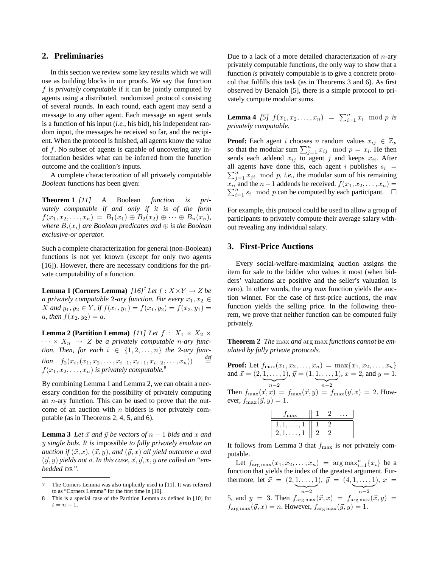# **2. Preliminaries**

In this section we review some key results which we will use as building blocks in our proofs. We say that function f is *privately computable* if it can be jointly computed by agents using a distributed, randomized protocol consisting of several rounds. In each round, each agent may send a message to any other agent. Each message an agent sends is a function of his input (*i.e.*, his bid), his independent random input, the messages he received so far, and the recipient. When the protocol is finished, all agents know the value of  $f$ . No subset of agents is capable of uncovering any information besides what can be inferred from the function outcome and the coalition's inputs.

A complete characterization of all privately computable *Boolean* functions has been given:

**Theorem 1** *[11] A* Boolean *function is privately computable if and only if it is of the form*  $f(x_1, x_2, \ldots, x_n) = B_1(x_1) \oplus B_2(x_2) \oplus \cdots \oplus B_n(x_n)$ *where*  $B_i(x_i)$  *are Boolean predicates and*  $\oplus$  *is the Boolean exclusive-or operator.*

Such a complete characterization for general (non-Boolean) functions is not yet known (except for only two agents [16]). However, there are necessary conditions for the private computability of a function.

**Lemma 1 (Corners Lemma)**  $[16]^7$  *Let*  $f : X \times Y \rightarrow Z$  *be a privately computable* 2-ary function. For every  $x_1, x_2 \in$ *X* and  $y_1, y_2 \in Y$ , if  $f(x_1, y_1) = f(x_1, y_2) = f(x_2, y_1) =$ *a, then*  $f(x_2, y_2) = a$ .

**Lemma 2 (Partition Lemma)** [11] Let  $f : X_1 \times X_2 \times$  $\cdots \times X_n \to Z$  *be a privately computable n-ary function. Then, for each*  $i \in \{1, 2, ..., n\}$  *the 2-ary func-* $\text{tion} \quad f_2(x_i, (x_1, x_2, \ldots, x_{i-1}, x_{i+1}, x_{i+2}, \ldots, x_n)) \quad \stackrel{\text{def}}{=}$  $\stackrel{def}{=}$  $f(x_1, x_2, \ldots, x_n)$  *is privately computable.*<sup>8</sup>

By combining Lemma 1 and Lemma 2, we can obtain a necessary condition for the possibility of privately computing an  $n$ -ary function. This can be used to prove that the outcome of an auction with n bidders is *not* privately computable (as in Theorems 2, 4, 5, and 6).

**Lemma 3** Let  $\vec{x}$  and  $\vec{y}$  be vectors of  $n - 1$  bids and x and y *single bids. It is* impossible *to fully privately emulate an auction if*  $(\vec{x}, x)$ *,*  $(\vec{x}, y)$ *, and*  $(\vec{y}, x)$  *all yield outcome* a *and*  $({\vec y}, y)$  yields not a. In this case,  ${\vec x}, {\vec y}, x, y$  are called an "em*bedded* OR*".*

Due to a lack of a more detailed characterization of  $n$ -ary privately computable functions, the only way to show that a function *is* privately computable is to give a concrete protocol that fulfills this task (as in Theorems 3 and 6). As first observed by Benaloh [5], there is a simple protocol to privately compute modular sums.

**Lemma 4** [5]  $f(x_1, x_2, ..., x_n) = \sum_{i=1}^n x_i \mod p$  *is privately computable.*

**Proof:** Each agent *i* chooses *n* random values  $x_{ij} \in \mathbb{Z}_p$ so that the modular sum  $\sum_{j=1}^{n} x_{ij} \mod p = x_i$ . He then sends each addend  $x_{ij}$  to agent j and keeps  $x_{ii}$ . After all agents have done this, each agent i publishes  $s_i$  =  $\sum_{j=1}^{n} x_{ji} \mod p$ , *i.e.*, the modular sum of his remaining  $x_{ii}$  and the  $n-1$  addends he received.  $f(x_1, x_2, \ldots, x_n) =$  $\sum_{i=1}^{n} s_i \mod p$  can be computed by each participant.  $\Box$ 

For example, this protocol could be used to allow a group of participants to privately compute their average salary without revealing any individual salary.

### **3. First-Price Auctions**

Every social-welfare-maximizing auction assigns the item for sale to the bidder who values it most (when bidders' valuations are positive and the seller's valuation is zero). In other words, the *arg max* function yields the auction winner. For the case of first-price auctions, the *max* function yields the selling price. In the following theorem, we prove that neither function can be computed fully privately.

**Theorem 2** *The* max *and* arg max *functions cannot be emulated by fully private protocols.*

**Proof:** Let  $f_{\max}(x_1, x_2, \ldots, x_n) = \max\{x_1, x_2, \ldots, x_n\}$ and  $\vec{x} = (2, 1, \dots, 1)$  $\sum_{n=2}$  $), \vec{y} = (1, 1, \ldots, 1)$  $\sum_{n=2}$ ),  $x = 2$ , and  $y = 1$ . Then  $f_{\text{max}}(\vec{x}, x) = f_{\text{max}}(\vec{x}, y) = f_{\text{max}}(\vec{y}, x) = 2$ . However,  $f_{\text{max}}(\vec{y}, y) = 1$ .

| max |  |  |
|-----|--|--|
|     |  |  |
|     |  |  |

It follows from Lemma 3 that  $f_{\text{max}}$  is *not* privately computable.

Let  $f_{\arg \max}(x_1, x_2, \dots, x_n) = \arg \max_{i=1}^n \{x_i\}$  be a function that yields the index of the greatest argument. Furthermore, let  $\vec{x} = (2, 1, \ldots, 1)$  $\sum_{n-2}$  $), \,\vec{y} = (4, 1, \ldots, 1)$  $\sum_{n-2}$  $), x =$ 

5, and  $y = 3$ . Then  $f_{\arg \max}(\vec{x}, x) = f_{\arg \max}(\vec{x}, y) =$  $f_{\text{arg max}}(\vec{y}, x) = n$ . However,  $f_{\text{arg max}}(\vec{y}, y) = 1$ .

<sup>7</sup> The Corners Lemma was also implicitly used in [11]. It was referred to as "Corners Lemma" for the first time in [10].

<sup>8</sup> This is a special case of the Partition Lemma as defined in [10] for  $t = n - 1$ .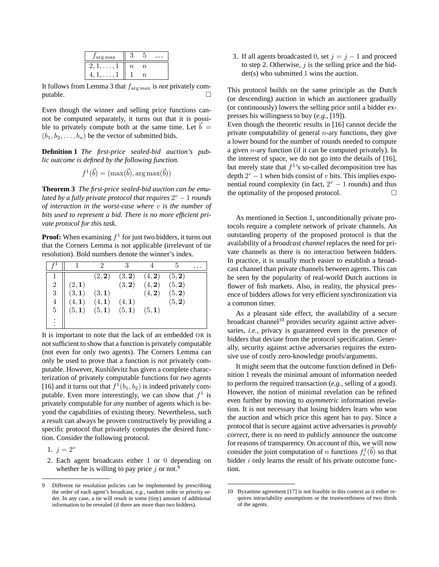| arg max<br>J |     |  |
|--------------|-----|--|
| .            | 77. |  |
|              | n   |  |

It follows from Lemma 3 that farg max is *not* privately computable.

Even though the winner and selling price functions cannot be computed separately, it turns out that it is possible to privately compute both at the same time. Let  $\vec{b} =$  $(b_1, b_2, \ldots, b_n)$  be the vector of submitted bids.

**Definition 1** *The first-price sealed-bid auction's public outcome is defined by the following function.*

$$
f^{1}(\vec{b}) = (\max(\vec{b}), \arg \max(\vec{b}))
$$

**Theorem 3** *The first-price sealed-bid auction can be emulated by a fully private protocol that requires*  $2^v - 1$  *rounds of interaction in the worst-case where* v *is the number of bits used to represent a bid. There is no more efficient private protocol for this task.*

**Proof:** When examining  $f<sup>1</sup>$  for just two bidders, it turns out that the Corners Lemma is not applicable (irrelevant of tie resolution). Bold numbers denote the winner's index.

|                |        |                  | 3      |        |        |  |
|----------------|--------|------------------|--------|--------|--------|--|
|                |        | $(2,\mathbf{2})$ | (3, 2) | (4, 2) | (5, 2) |  |
| $\overline{2}$ | (2, 1) |                  | (3, 2) | (4, 2) | (5, 2) |  |
| 3              | (3, 1) | (3, 1)           |        | (4, 2) | (5, 2) |  |
| 4              | (4, 1) | (4, 1)           | (4, 1) |        | (5, 2) |  |
| $\overline{5}$ | (5, 1) | (5, 1)           | (5, 1) | (5, 1) |        |  |
| $\ddot{\cdot}$ |        |                  |        |        |        |  |

It is important to note that the lack of an embedded OR is not sufficient to show that a function is privately computable (not even for only two agents). The Corners Lemma can only be used to prove that a function is *not* privately computable. However, Kushilevitz has given a complete characterization of privately computable functions for *two* agents [16] and it turns out that  $f^1(b_1, b_2)$  is indeed privately computable. Even more interestingly, we can show that  $f^1$  is privately computable for *any* number of agents which is beyond the capabilities of existing theory. Nevertheless, such a result can always be proven constructively by providing a specific protocol that privately computes the desired function. Consider the following protocol.

- 1.  $i = 2^v$
- 2. Each agent broadcasts either 1 or 0 depending on whether he is willing to pay price  $j$  or not.<sup>9</sup>

3. If all agents broadcasted 0, set  $j = j - 1$  and proceed to step 2. Otherwise,  $j$  is the selling price and the bidder(s) who submitted 1 wins the auction.

This protocol builds on the same principle as the Dutch (or descending) auction in which an auctioneer gradually (or continuously) lowers the selling price until a bidder expresses his willingness to buy (*e.g.*, [19]).

Even though the theoretic results in [16] cannot decide the private computability of general  $n$ -ary functions, they give a lower bound for the number of rounds needed to compute a given  $n$ -ary function (if it can be computed privately). In the interest of space, we do not go into the details of [16], but merely state that  $f^1$ 's so-called decomposition tree has depth  $2^v - 1$  when bids consist of v bits. This implies exponential round complexity (in fact,  $2^v - 1$  rounds) and thus the optimality of the proposed protocol.  $\Box$ 

As mentioned in Section 1, unconditionally private protocols require a complete network of private channels. An outstanding property of the proposed protocol is that the availability of a *broadcast channel* replaces the need for private channels as there is no interaction between bidders. In practice, it is usually much easier to establish a broadcast channel than private channels between agents. This can be seen by the popularity of real-world Dutch auctions in flower of fish markets. Also, in reality, the physical presence of bidders allows for very efficient synchronization via a common timer.

As a pleasant side effect, the availability of a secure broadcast channel<sup>10</sup> provides security against active adversaries, *i.e.*, privacy is guaranteed even in the presence of bidders that deviate from the protocol specification. Generally, security against active adversaries requires the extensive use of costly zero-knowledge proofs/arguments.

It might seem that the outcome function defined in Definition 1 reveals the minimal amount of information needed to perform the required transaction (*e.g.*, selling of a good). However, the notion of minimal revelation can be refined even further by moving to *asymmetric* information revelation. It is not necessary that losing bidders learn who won the auction and which price this agent has to pay. Since a protocol that is secure against active adversaries is *provably correct*, there is no need to publicly announce the outcome for reasons of transparency. On account of this, we will now consider the joint computation of *n* functions  $f_i^1(\vec{b})$  so that bidder  $i$  only learns the result of his private outcome function.

Different tie resolution policies can be implemented by prescribing the order of each agent's broadcast, *e.g.*, random order or priority order. In any case, a tie will result in some (tiny) amount of additional information to be revealed (if there are more than two bidders).

<sup>10</sup> Byzantine agreement [17] is not feasible in this context as it either requires intractability assumptions or the trustworthiness of two thirds of the agents.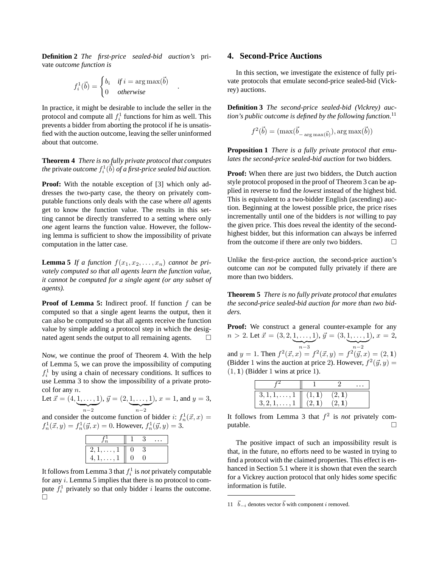**Definition 2** *The first-price sealed-bid auction's* private *outcome function is*

$$
f_i^1(\vec{b}) = \begin{cases} b_i & \text{if } i = \arg\max(\vec{b}) \\ 0 & \text{otherwise} \end{cases}
$$

*.*

In practice, it might be desirable to include the seller in the protocol and compute all  $f_i^1$  functions for him as well. This prevents a bidder from aborting the protocol if he is unsatisfied with the auction outcome, leaving the seller uninformed about that outcome.

**Theorem 4** *There is no fully private protocol that computes the* private *outcome*  $f_i^1(\vec{b})$  *of a first-price sealed bid auction.* 

**Proof:** With the notable exception of [3] which only addresses the two-party case, the theory on privately computable functions only deals with the case where *all* agents get to know the function value. The results in this setting cannot be directly transferred to a setting where only *one* agent learns the function value. However, the following lemma is sufficient to show the impossibility of private computation in the latter case.

**Lemma 5** If a function  $f(x_1, x_2, \ldots, x_n)$  cannot be pri*vately computed so that all agents learn the function value, it cannot be computed for a single agent (or any subset of agents).*

**Proof of Lemma 5:** Indirect proof. If function  $f$  can be computed so that a single agent learns the output, then it can also be computed so that all agents receive the function value by simple adding a protocol step in which the designated agent sends the output to all remaining agents.  $\Box$ 

Now, we continue the proof of Theorem 4. With the help of Lemma 5, we can prove the impossibility of computing  $f_i^1$  by using a chain of necessary conditions. It suffices to use Lemma 3 to show the impossibility of a private protocol for any n.

Let  $\vec{x} = (4, 1, \dots, 1)$  $\sum_{n-2}$  $), \vec{y} = (2, 1, \ldots, 1)$  $\sum_{n-2}$  $, x = 1,$  and  $y = 3,$ 

and consider the outcome function of bidder *i*:  $f_n^1(\vec{x}, x) =$  $f_n^1(\vec{x}, y) = f_n^1(\vec{y}, x) = 0$ . However,  $f_n^1(\vec{y}, y) = 3$ .

| $2, 1, \ldots, 1$    | $\left( \right)$ |  |
|----------------------|------------------|--|
| $\ldots, 1$<br>4, 1, | 0                |  |

It follows from Lemma 3 that  $f_i^1$  is *not* privately computable for any i. Lemma 5 implies that there is no protocol to compute  $f_i^1$  privately so that only bidder i learns the outcome.  $\Box$ 

# **4. Second-Price Auctions**

In this section, we investigate the existence of fully private protocols that emulate second-price sealed-bid (Vickrey) auctions.

**Definition 3** *The second-price sealed-bid (Vickrey) auction's public outcome is defined by the following function.*<sup>11</sup>

$$
f^2(\vec{b}) = (\max(\vec{b}_{-\arg\max(\vec{b})}), \arg\max(\vec{b}))
$$

**Proposition 1** *There is a fully private protocol that emulates the second-price sealed-bid auction* for two bidders*.*

**Proof:** When there are just two bidders, the Dutch auction style protocol proposed in the proof of Theorem 3 can be applied in reverse to find the *lowest* instead of the highest bid. This is equivalent to a two-bidder English (ascending) auction. Beginning at the lowest possible price, the price rises incrementally until one of the bidders is *not* willing to pay the given price. This does reveal the identity of the secondhighest bidder, but this information can always be inferred from the outcome if there are only two bidders.  $\Box$ 

Unlike the first-price auction, the second-price auction's outcome can *not* be computed fully privately if there are more than two bidders.

**Theorem 5** *There is no fully private protocol that emulates the second-price sealed-bid auction for more than two bidders.*

**Proof:** We construct a general counter-example for any  $n > 2$ . Let  $\vec{x} = (3, 2, 1, \dots, 1)$  $\sum_{n=3}$  $), \,\vec{y} = (3, 1, \ldots, 1)$  $\sum_{n-2}$  $), x = 2,$ and  $y = 1$ . Then  $f^2(\vec{x}, x) = f^2(\vec{x}, y) = f^2(\vec{y}, x) = (2, 1)$ (Bidder 1 wins the auction at price 2). However,  $f^2(\vec{y}, y) =$  $(1, 1)$  (Bidder 1 wins at price 1).

| $3, 1, 1, \ldots, 1$ | (1, 1) | [2,1] |  |
|----------------------|--------|-------|--|
| $3, 2, 1, \ldots, 1$ | (2, 1) | 2.1   |  |

It follows from Lemma 3 that  $f^2$  is *not* privately com $p$ utable.  $\Box$ 

The positive impact of such an impossibility result is that, in the future, no efforts need to be wasted in trying to find a protocol with the claimed properties. This effect is enhanced in Section 5.1 where it is shown that even the search for a Vickrey auction protocol that only hides *some* specific information is futile.

<sup>11</sup>  $\vec{b}_{-i}$  denotes vector  $\vec{b}$  with component i removed.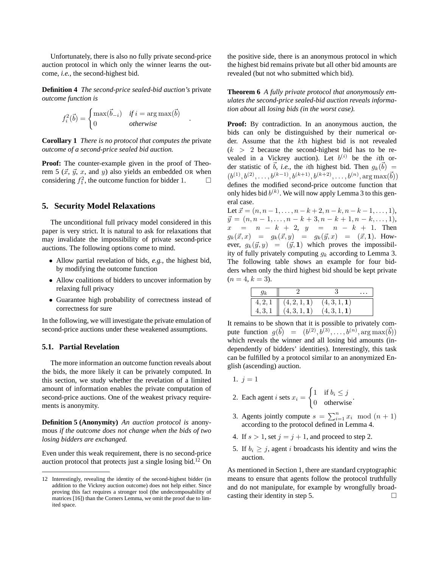Unfortunately, there is also no fully private second-price auction protocol in which only the winner learns the outcome, *i.e.*, the second-highest bid.

**Definition 4** *The second-price sealed-bid auction's* private *outcome function is*

*.*

$$
f_i^2(\vec{b}) = \begin{cases} \max(\vec{b}_{-i}) & \text{if } i = \arg \max(\vec{b}) \\ 0 & \text{otherwise} \end{cases}
$$

**Corollary 1** *There is no protocol that computes the* private *outcome of a second-price sealed bid auction.*

**Proof:** The counter-example given in the proof of Theorem 5 ( $\vec{x}$ ,  $\vec{y}$ ,  $x$ , and  $y$ ) also yields an embedded OR when considering  $f_1^2$ , the outcome function for bidder 1.  $\Box$ 

### **5. Security Model Relaxations**

The unconditional full privacy model considered in this paper is very strict. It is natural to ask for relaxations that may invalidate the impossibility of private second-price auctions. The following options come to mind.

- Allow partial revelation of bids, *e.g.*, the highest bid, by modifying the outcome function
- Allow coalitions of bidders to uncover information by relaxing full privacy
- Guarantee high probability of correctness instead of correctness for sure

In the following, we will investigate the private emulation of second-price auctions under these weakened assumptions.

#### **5.1. Partial Revelation**

The more information an outcome function reveals about the bids, the more likely it can be privately computed. In this section, we study whether the revelation of a limited amount of information enables the private computation of second-price auctions. One of the weakest privacy requirements is anonymity.

**Definition 5 (Anonymity)** *An auction protocol is* anonymous *if the outcome does not change when the bids of two losing bidders are exchanged.*

Even under this weak requirement, there is no second-price auction protocol that protects just a single losing bid.<sup>12</sup> On

the positive side, there is an anonymous protocol in which the highest bid remains private but all other bid amounts are revealed (but not who submitted which bid).

**Theorem 6** *A fully private protocol that anonymously emulates the second-price sealed-bid auction reveals information about* all *losing bids (in the worst case).*

**Proof:** By contradiction. In an anonymous auction, the bids can only be distinguished by their numerical order. Assume that the kth highest bid is not revealed  $(k > 2)$  because the second-highest bid has to be revealed in a Vickrey auction). Let  $b^{(i)}$  be the *i*th order statistic of  $\vec{b}$ , *i.e.*, the *i*th highest bid. Then  $g_k(\vec{b}) =$  $(b^{(1)}, b^{(2)}, \ldots, b^{(k-1)}, b^{(k+1)}, b^{(k+2)}, \ldots, b^{(n)}, \arg \max(\vec{b}))$ defines the modified second-price outcome function that only hides bid  $b^{(k)}$ . We will now apply Lemma 3 to this general case.

Let  $\vec{x} = (n, n-1, \ldots, n-k+2, n-k, n-k-1, \ldots, 1),$  $\vec{y} = (n, n-1, \ldots, n-k+3, n-k+1, n-k, \ldots, 1),$  $x = n - k + 2, y = n - k + 1.$  Then  $g_k(\vec{x}, x) = g_k(\vec{x}, y) = g_k(\vec{y}, x) = (\vec{x}, 1)$ . However,  $g_k(\vec{y}, y) = (\vec{y}, 1)$  which proves the impossibility of fully privately computing  $g_k$  according to Lemma 3. The following table shows an example for four bidders when only the third highest bid should be kept private  $(n = 4, k = 3).$ 

| $4, 2, 1$ $(4, 2, 1, 1)$              | (4,3,1,1) |  |
|---------------------------------------|-----------|--|
| 4, 3, 1 $(4, 3, 1, 1)$ $(4, 3, 1, 1)$ |           |  |

It remains to be shown that it is possible to privately compute function  $g(\vec{b}) = (b^{(2)}, \vec{b}^{(3)}, \dots, b^{(n)}, \arg \max(\vec{b}))$ which reveals the winner and all losing bid amounts (independently of bidders' identities). Interestingly, this task can be fulfilled by a protocol similar to an anonymized English (ascending) auction.

1. 
$$
j = 1
$$

- 2. Each agent *i* sets  $x_i =$  $\int 1$  if  $b_i \leq j$  $\frac{1}{1}$   $\frac{1}{10}$   $\frac{1}{2}$   $\frac{1}{2}$   $\frac{1}{2}$   $\frac{1}{2}$   $\frac{1}{2}$   $\frac{1}{2}$   $\frac{1}{2}$   $\frac{1}{2}$   $\frac{1}{2}$   $\frac{1}{2}$   $\frac{1}{2}$   $\frac{1}{2}$   $\frac{1}{2}$   $\frac{1}{2}$   $\frac{1}{2}$   $\frac{1}{2}$   $\frac{1}{2}$   $\frac{1}{2}$   $\frac{1}{2}$   $\frac{1}{2}$
- 3. Agents jointly compute  $s = \sum_{i=1}^{n} x_i \mod (n+1)$ according to the protocol defined in Lemma 4.
- 4. If  $s > 1$ , set  $j = j + 1$ , and proceed to step 2.
- 5. If  $b_i \geq j$ , agent i broadcasts his identity and wins the auction.

As mentioned in Section 1, there are standard cryptographic means to ensure that agents follow the protocol truthfully and do not manipulate, for example by wrongfully broadcasting their identity in step 5.  $\Box$ 

<sup>12</sup> Interestingly, revealing the identity of the second-highest bidder (in addition to the Vickrey auction outcome) does not help either. Since proving this fact requires a stronger tool (the undecomposability of matrices [16]) than the Corners Lemma, we omit the proof due to limited space.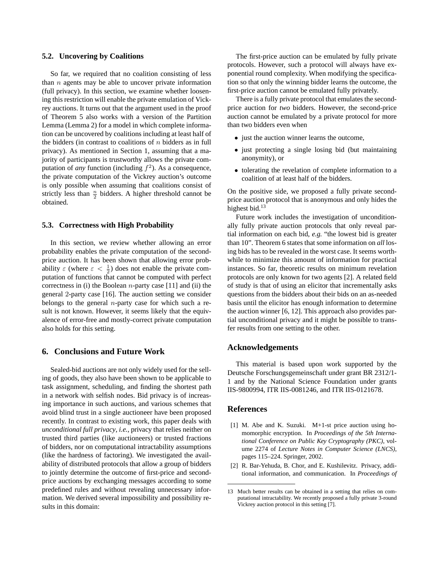#### **5.2. Uncovering by Coalitions**

So far, we required that no coalition consisting of less than  $n$  agents may be able to uncover private information (full privacy). In this section, we examine whether loosening this restriction will enable the private emulation of Vickrey auctions. It turns out that the argument used in the proof of Theorem 5 also works with a version of the Partition Lemma (Lemma 2) for a model in which complete information can be uncovered by coalitions including at least half of the bidders (in contrast to coalitions of  $n$  bidders as in full privacy). As mentioned in Section 1, assuming that a majority of participants is trustworthy allows the private computation of *any* function (including  $f^2$ ). As a consequence, the private computation of the Vickrey auction's outcome is only possible when assuming that coalitions consist of strictly less than  $\frac{n}{2}$  bidders. A higher threshold cannot be obtained.

#### **5.3. Correctness with High Probability**

In this section, we review whether allowing an error probability enables the private computation of the secondprice auction. It has been shown that allowing error probability  $\varepsilon$  (where  $\varepsilon < \frac{1}{2}$ ) does not enable the private computation of functions that cannot be computed with perfect correctness in (i) the Boolean *n*-party case [11] and (ii) the general 2-party case [16]. The auction setting we consider belongs to the general  $n$ -party case for which such a result is not known. However, it seems likely that the equivalence of error-free and mostly-correct private computation also holds for this setting.

### **6. Conclusions and Future Work**

Sealed-bid auctions are not only widely used for the selling of goods, they also have been shown to be applicable to task assignment, scheduling, and finding the shortest path in a network with selfish nodes. Bid privacy is of increasing importance in such auctions, and various schemes that avoid blind trust in a single auctioneer have been proposed recently. In contrast to existing work, this paper deals with *unconditional full privacy*, *i.e.*, privacy that relies neither on trusted third parties (like auctioneers) or trusted fractions of bidders, nor on computational intractability assumptions (like the hardness of factoring). We investigated the availability of distributed protocols that allow a group of bidders to jointly determine the outcome of first-price and secondprice auctions by exchanging messages according to some predefined rules and without revealing unnecessary information. We derived several impossibility and possibility results in this domain:

The first-price auction can be emulated by fully private protocols. However, such a protocol will always have exponential round complexity. When modifying the specification so that only the winning bidder learns the outcome, the first-price auction cannot be emulated fully privately.

There is a fully private protocol that emulates the secondprice auction for *two* bidders. However, the second-price auction cannot be emulated by a private protocol for more than two bidders even when

- just the auction winner learns the outcome,
- just protecting a single losing bid (but maintaining anonymity), or
- tolerating the revelation of complete information to a coalition of at least half of the bidders.

On the positive side, we proposed a fully private secondprice auction protocol that is anonymous and only hides the highest bid.<sup>13</sup>

Future work includes the investigation of unconditionally fully private auction protocols that only reveal partial information on each bid, *e.g.* "the lowest bid is greater than 10". Theorem 6 states that some information on *all* losing bids has to be revealed in the worst case. It seems worthwhile to minimize this amount of information for practical instances. So far, theoretic results on minimum revelation protocols are only known for two agents [2]. A related field of study is that of using an elicitor that incrementally asks questions from the bidders about their bids on an as-needed basis until the elicitor has enough information to determine the auction winner [6, 12]. This approach also provides partial unconditional privacy and it might be possible to transfer results from one setting to the other.

# **Acknowledgements**

This material is based upon work supported by the Deutsche Forschungsgemeinschaft under grant BR 2312/1- 1 and by the National Science Foundation under grants IIS-9800994, ITR IIS-0081246, and ITR IIS-0121678.

# **References**

- [1] M. Abe and K. Suzuki. M+1-st price auction using homomorphic encryption. In *Proceedings of the 5th International Conference on Public Key Cryptography (PKC)*, volume 2274 of *Lecture Notes in Computer Science (LNCS)*, pages 115–224. Springer, 2002.
- [2] R. Bar-Yehuda, B. Chor, and E. Kushilevitz. Privacy, additional information, and communication. In *Proceedings of*

<sup>13</sup> Much better results can be obtained in a setting that relies on computational intractability. We recently proposed a fully private 3-round Vickrey auction protocol in this setting [7].